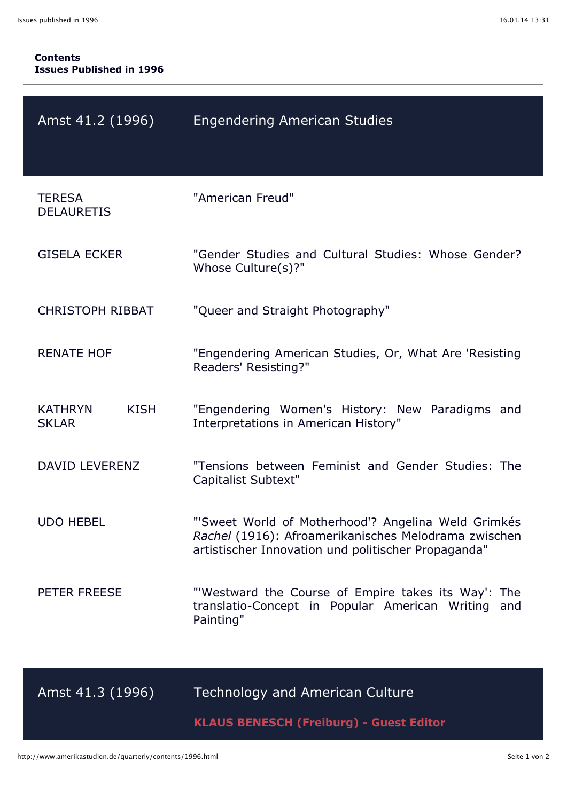| Amst 41.2 (1996)                              | <b>Engendering American Studies</b>                                                                                                                                |
|-----------------------------------------------|--------------------------------------------------------------------------------------------------------------------------------------------------------------------|
| <b>TERESA</b><br><b>DELAURETIS</b>            | "American Freud"                                                                                                                                                   |
| <b>GISELA ECKER</b>                           | "Gender Studies and Cultural Studies: Whose Gender?<br>Whose Culture(s)?"                                                                                          |
| <b>CHRISTOPH RIBBAT</b>                       | "Queer and Straight Photography"                                                                                                                                   |
| <b>RENATE HOF</b>                             | "Engendering American Studies, Or, What Are 'Resisting<br>Readers' Resisting?"                                                                                     |
| <b>KATHRYN</b><br><b>KISH</b><br><b>SKLAR</b> | "Engendering Women's History: New Paradigms and<br>Interpretations in American History"                                                                            |
| DAVID LEVERENZ                                | "Tensions between Feminist and Gender Studies: The<br>Capitalist Subtext"                                                                                          |
| <b>UDO HEBEL</b>                              | "'Sweet World of Motherhood'? Angelina Weld Grimkés<br>Rachel (1916): Afroamerikanisches Melodrama zwischen<br>artistischer Innovation und politischer Propaganda" |
| PETER FREESE                                  | "Westward the Course of Empire takes its Way': The<br>translatio-Concept in Popular American Writing and<br>Painting"                                              |
| Amst 41.3 (1996)                              | <b>Technology and American Culture</b>                                                                                                                             |

**KLAUS BENESCH (Freiburg) - Guest Editor**